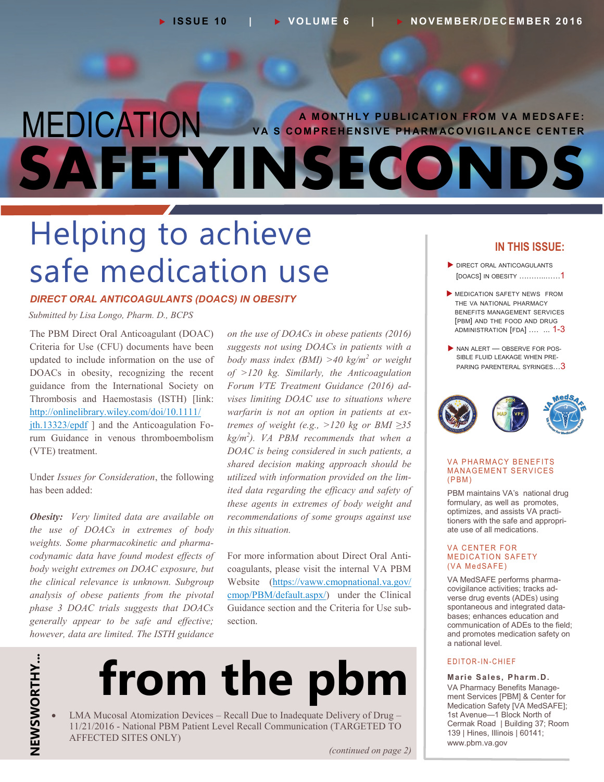### MEDICATION **SAFETYINSECONDS A M O NT HLY P UBL I C AT IO N F RO M V A M ED S AFE: V A'S CO M PR E H EN SIVE P H AR M AC O VIG I L AN C E C ENT ER**

## Helping to achieve safe medication use

#### *DIRECT ORAL ANTICOAGULANTS (DOACS) IN OBESITY*

 *Submitted by Lisa Longo, Pharm. D., BCPS*

 Criteria for Use (CFU) documents have been updated to include information on the use of DOACs in obesity, recognizing the recent guidance from the International Society on Thrombosis and Haemostasis (ISTH) [link: ith.13323/epdf ] and the Anticoagulation Fo- rum Guidance in venous thromboembolism The PBM Direct Oral Anticoagulant (DOAC) [http://onlinelibrary.wiley.com/doi/10.1111/](http://onlinelibrary.wiley.com/doi/10.1111/jth.13323/epdf) (VTE) treatment.

Under *Issues for Consideration*, the following has been added:

 *Obesity: Very limited data are available on the use of DOACs in extremes of body codynamic data have found modest effects of body weight extremes on DOAC exposure, but the clinical relevance is unknown. Subgroup phase 3 DOAC trials suggests that DOACs generally appear to be safe and effective; however, data are limited. The ISTH guidance weights. Some pharmacokinetic and pharma analysis of obese patients from the pivotal*

 *on the use of DOACs in obese patients (2016) suggests not using DOACs in patients with a body mass index (BMI) >40 kg/m<sup>2</sup> or weight of >120 kg. Similarly, the Anticoagulation Forum VTE Treatment Guidance (2016) ad - vises limiting DOAC use to situations where warfarin is not an option in patients at ex - tremes of weight (e.g., >120 kg or BMI ≥35 kg/m<sup>2</sup> ). VA PBM recommends that when a DOAC is being considered in such patients, a shared decision making approach should be utilized with information provided on the lim - ited data regarding the efficacy and safety of these agents in extremes of body weight and in this situation. recommendations of some groups against use* 

[cmop/PBM/default.aspx/\)](https://vaww.cmopnational.va.gov/cmop/PBM/default.aspx/) under the Clinical Guidance section and the Criteria for Use sub - For more information about Direct Oral Anti coagulants, please visit the internal VA PBM Website ( [https://vaww.cmopnational.va.gov/](https://vaww.cmopnational.va.gov/cmop/PBM/default.aspx/) section.

## **NEWSWORTHY...** NEWSWORTHY...

# **from the pbm**

 LMA Mucosal Atomization Devices – Recall Due to Inadequate Delivery of Drug – 11/21/2016 - National PBM Patient Level Recall Communication (TARGETED TO AFFECTED SITES ONLY)

#### **IN THIS ISSUE:**

- DIRECT ORAL ANTICOAGULANTS [DOACS] IN OBESITY ………..……1
- MEDICATION SAFETY NEWS FROM THE VA NATIONAL PHARMACY BENEFITS MANAGEMENT SERVICES [PBM] AND THE FOOD AND DRUG ADMINISTRATION [FDA] .… ... 1-3
- $\blacktriangleright$  NAN ALERT OBSERVE FOR POS-SIBLE FLUID LEAKAGE WHEN PRE-PARING PARENTERAL SYRINGES...<sup>3</sup>



#### **VA PHARMACY BENEFITS MANAGEMENT SERVICES**  $(PBM)$

 PBM maintains VA's national drug formulary, as well as promotes, optimizes, and assists VA practi - tioners with the safe and appropri - ate use of all medications.

#### VA CENTER FOR MEDICATION SAFETY (VA MedSAFE)

 VA MedSAFE performs pharma - covigilance activities; tracks ad - verse drug events (ADEs) using spontaneous and integrated data - bases; enhances education and communication of ADEs to the field; and promotes medication safety on a national level.

#### E DITOR-IN-CHIEF

 **Marie Sales, Pharm.D.** VA Pharmacy Benefits Manage - ment Services [PBM] & Center for Medication Safety [VA MedSAFE]; 1st Avenue—1 Block North of Cermak Road | Building 37; Room 139 | Hines, Illinois | 60141; www.pbm.va.gov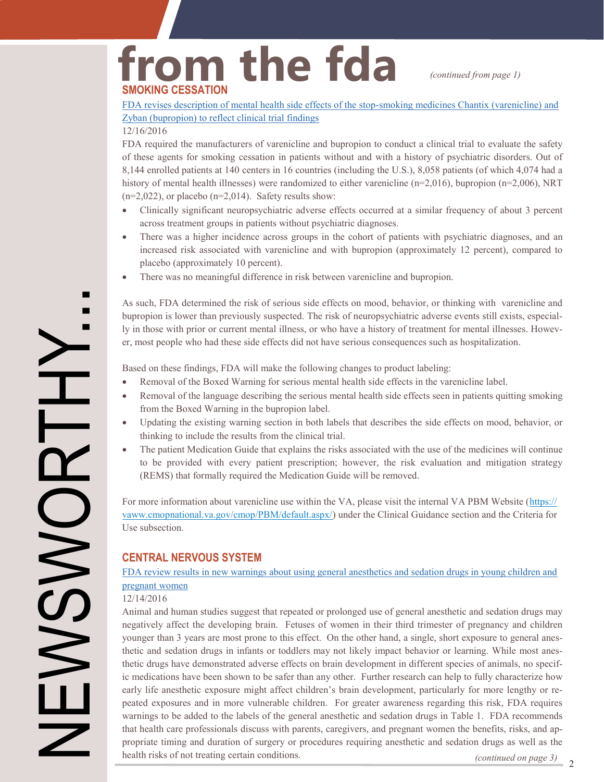## from the fda *(continued from page 1)* **SMOKING CESSATION**

 FDA revises description of mental health side effects of the stop-smoking [medicines Chantix](http://www.fda.gov/Drugs/DrugSafety/ucm532221.htm) (varenicline) and Zyban (bupropion) to [reflect clinical trial findings](http://www.fda.gov/Drugs/DrugSafety/ucm532221.htm)

#### 12/16/2016

 FDA required the manufacturers of varenicline and bupropion to conduct a clinical trial to evaluate the safety of these agents for smoking cessation in patients without and with a history of psychiatric disorders. Out of 8,144 enrolled patients at 140 centers in 16 countries (including the U.S.), 8,058 patients (of which 4,074 had a history of mental health illnesses) were randomized to either varenicline (n=2,016), bupropion (n=2,006), NRT  $(n=2,022)$ , or placebo  $(n=2,014)$ . Safety results show:

- Clinically significant neuropsychiatric adverse effects occurred at a similar frequency of about 3 percent across treatment groups in patients without psychiatric diagnoses.
- There was a higher incidence across groups in the cohort of patients with psychiatric diagnoses, and an increased risk associated with varenicline and with bupropion (approximately 12 percent), compared to placebo (approximately 10 percent).
- There was no meaningful difference in risk between varenicline and bupropion.

 As such, FDA determined the risk of serious side effects on mood, behavior, or thinking with varenicline and bupropion is lower than previously suspected. The risk of neuropsychiatric adverse events still exists, especial ly in those with prior or current mental illness, or who have a history of treatment for mental illnesses. Howev-er, most people who had these side effects did not have serious consequences such as hospitalization.

Based on these findings, FDA will make the following changes to product labeling:

- Removal of the Boxed Warning for serious mental health side effects in the varenicline label.
- Removal of the language describing the serious mental health side effects seen in patients quitting smoking from the Boxed Warning in the bupropion label.
- Updating the existing warning section in both labels that describes the side effects on mood, behavior, or thinking to include the results from the clinical trial.
- The patient Medication Guide that explains the risks associated with the use of the medicines will continue to be provided with every patient prescription; however, the risk evaluation and mitigation strategy (REMS) that formally required the Medication Guide will be removed.

For more information about varenicline use within the VA, please visit the internal VA PBM Website ([https://](https://vaww.cmopnational.va.gov/cmop/PBM/default.aspx/) [vaww.cmopnational.va.gov/cmop/PBM/default.aspx/\)](https://vaww.cmopnational.va.gov/cmop/PBM/default.aspx/) under the Clinical Guidance section and the Criteria for Use subsection.

#### **CENTRAL NERVOUS SYSTEM**

#### FDA review results in new warnings about using [general anesthetics and](http://www.fda.gov/Drugs/DrugSafety/ucm532356.htm) sedation drugs in young children and [pregnant women](http://www.fda.gov/Drugs/DrugSafety/ucm532356.htm)

#### 12/14/2016

NEWSWORTHY...

**NSWS** 

 $\overline{\phantom{0}}$ 

 $\blacksquare$  $\blacksquare$ 

> Animal and human studies suggest that repeated or prolonged use of general anesthetic and sedation drugs may negatively affect the developing brain. Fetuses of women in their third trimester of pregnancy and children younger than 3 years are most prone to this effect. On the other hand, a single, short exposure to general anes - thetic and sedation drugs in infants or toddlers may not likely impact behavior or learning. While most anes - thetic drugs have demonstrated adverse effects on brain development in different species of animals, no specif - ic medications have been shown to be safer than any other. Further research can help to fully characterize how early life anesthetic exposure might affect children's brain development, particularly for more lengthy or re- peated exposures and in more vulnerable children. For greater awareness regarding this risk, FDA requires warnings to be added to the labels of the general anesthetic and sedation drugs in Table 1. FDA recommends that health care professionals discuss with parents, caregivers, and pregnant women the benefits, risks, and ap - propriate timing and duration of surgery or procedures requiring anesthetic and sedation drugs as well as the health risks of not treating certain conditions.